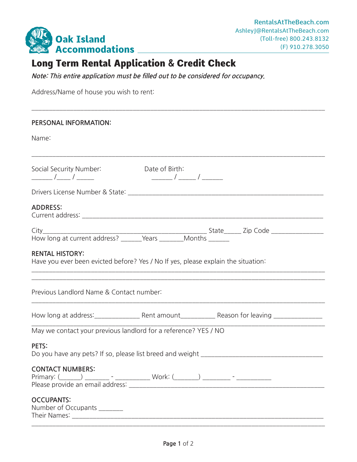

## Long Term Rental Application & Credit Check

**Note: This entire application must be filled out to be considered for occupancy.**

Address/Name of house you wish to rent:

| PERSONAL INFORMATION:                                                                                                        |  |  |  |
|------------------------------------------------------------------------------------------------------------------------------|--|--|--|
| Name:                                                                                                                        |  |  |  |
| Social Security Number: Date of Birth:                                                                                       |  |  |  |
|                                                                                                                              |  |  |  |
| <b>ADDRESS:</b>                                                                                                              |  |  |  |
|                                                                                                                              |  |  |  |
|                                                                                                                              |  |  |  |
| <b>RENTAL HISTORY:</b><br>Have you ever been evicted before? Yes / No If yes, please explain the situation:                  |  |  |  |
| ,我们也不能在这里的时候,我们也不能在这里的时候,我们也不能在这里的时候,我们也不能会在这里的时候,我们也不能会在这里的时候,我们也不能会在这里的时候,我们也不<br>Previous Landlord Name & Contact number: |  |  |  |
|                                                                                                                              |  |  |  |
| May we contact your previous landlord for a reference? YES / NO                                                              |  |  |  |
| PETS:                                                                                                                        |  |  |  |
| <b>CONTACT NUMBERS:</b>                                                                                                      |  |  |  |
| <b>OCCUPANTS:</b><br>Number of Occupants _______                                                                             |  |  |  |